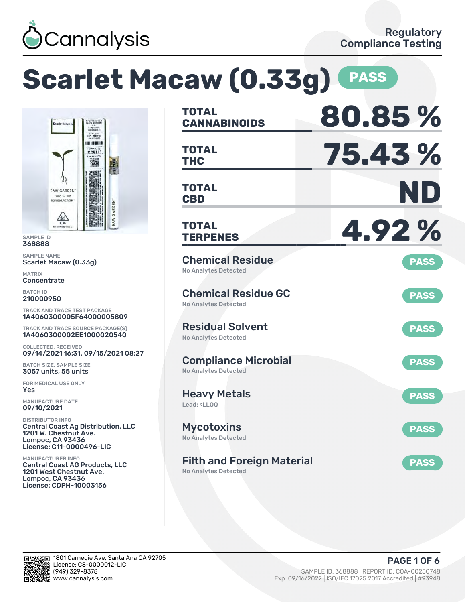

# **Scarlet Macaw (0.33g) PASS CANNABINOIDS 80.85 % TOTAL THC 75.43 % TOTAL CBD ND TOTAL** RAW GARDEN **TERPENES 4.92 % TOTAL** Chemical Residue **PASS** No Analytes Detected Chemical Residue GC **PASS** No Analytes Detected Residual Solvent **PASS** No Analytes Detected Compliance Microbial **PASS** No Analytes Detected Heavy Metals **PASS** Lead: <LLOQ Mycotoxins **PASS** No Analytes Detected Filth and Foreign Material **PASS** No Analytes Detected

CCAP, LLC<br>DPH-100031 in kin berr **CCELL** 灘 RAW GARDEN' **REFINED LIVE RESIL**  $\mathbb{A}$ 

SAMPLE ID 368888 SAMPLE NAME

Scarlet Macaw (0.33g)

MATRIX **Concentrate** 

BATCH ID 210000950

TRACK AND TRACE TEST PACKAGE 1A4060300005F64000005809

TRACK AND TRACE SOURCE PACKAGE(S) 1A4060300002EE1000020540

COLLECTED, RECEIVED 09/14/2021 16:31, 09/15/2021 08:27

BATCH SIZE, SAMPLE SIZE 3057 units, 55 units

FOR MEDICAL USE ONLY Yes

MANUFACTURE DATE 09/10/2021

DISTRIBUTOR INFO Central Coast Ag Distribution, LLC 1201 W. Chestnut Ave. Lompoc, CA 93436 License: C11-0000496-LIC

MANUFACTURER INFO Central Coast AG Products, LLC 1201 West Chestnut Ave. Lompoc, CA 93436 License: CDPH-10003156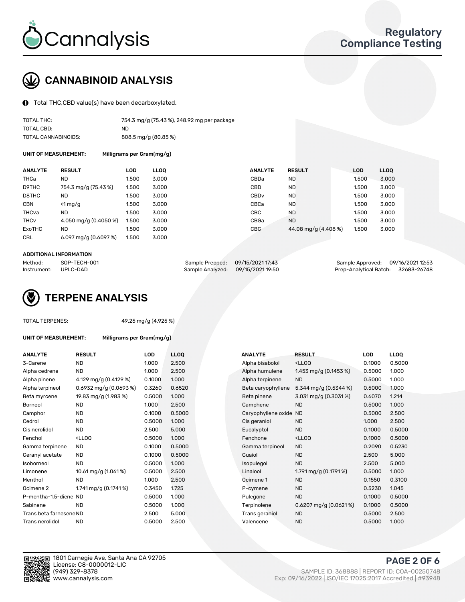

# CANNABINOID ANALYSIS

Total THC,CBD value(s) have been decarboxylated.

| TOTAL THC:          | 754.3 mg/g (75.43 %), 248.92 mg per package |
|---------------------|---------------------------------------------|
| TOTAL CBD:          | ND.                                         |
| TOTAL CANNABINOIDS: | 808.5 mg/g (80.85 %)                        |

UNIT OF MEASUREMENT: Milligrams per Gram(mg/g)

| <b>ANALYTE</b>         | <b>RESULT</b>          | LOD   | <b>LLOO</b> | <b>ANALYTE</b>   | <b>RESULT</b>        | <b>LOD</b> | <b>LLOQ</b> |
|------------------------|------------------------|-------|-------------|------------------|----------------------|------------|-------------|
| THCa                   | <b>ND</b>              | 1.500 | 3.000       | CBDa             | <b>ND</b>            | 1.500      | 3.000       |
| D9THC                  | 754.3 mg/g (75.43 %)   | 1.500 | 3.000       | CBD              | <b>ND</b>            | 1.500      | 3.000       |
| D8THC                  | ND                     | 1.500 | 3.000       | CBD <sub>v</sub> | <b>ND</b>            | 1.500      | 3.000       |
| <b>CBN</b>             | $<$ 1 mg/g             | 1.500 | 3.000       | CBCa             | <b>ND</b>            | 1.500      | 3.000       |
| THCva                  | <b>ND</b>              | 1.500 | 3.000       | CBC              | <b>ND</b>            | 1.500      | 3.000       |
| <b>THC<sub>v</sub></b> | 4.050 mg/g (0.4050 %)  | 1.500 | 3.000       | CBGa             | <b>ND</b>            | 1.500      | 3.000       |
| <b>ExoTHC</b>          | <b>ND</b>              | 1.500 | 3.000       | <b>CBG</b>       | 44.08 mg/g (4.408 %) | 1.500      | 3.000       |
| <b>CBL</b>             | 6.097 mg/g $(0.6097%)$ | 1.500 | 3.000       |                  |                      |            |             |

#### ADDITIONAL INFORMATION

| Method:     | SOP-TECH-001 | Sample Prepped: 09/15/2021 17:43  | Sample Approved: 09/16/2021 12:53  |  |
|-------------|--------------|-----------------------------------|------------------------------------|--|
| Instrument: | UPLC-DAD     | Sample Analyzed: 09/15/2021 19:50 | Prep-Analytical Batch: 32683-26748 |  |



TOTAL TERPENES: 49.25 mg/g (4.925 %)

| UNIT OF MEASUREMENT: | Milligrams per Gram(mg/g) |
|----------------------|---------------------------|
|                      |                           |

| <b>ANALYTE</b>          | <b>RESULT</b>                                                                                                                   | <b>LOD</b> | <b>LLOQ</b> | <b>ANALYTE</b>         | <b>RESULT</b>                                       | <b>LOD</b> | <b>LLOQ</b> |
|-------------------------|---------------------------------------------------------------------------------------------------------------------------------|------------|-------------|------------------------|-----------------------------------------------------|------------|-------------|
| 3-Carene                | <b>ND</b>                                                                                                                       | 1.000      | 2.500       | Alpha bisabolol        | <ll0q< td=""><td>0.1000</td><td>0.5000</td></ll0q<> | 0.1000     | 0.5000      |
| Alpha cedrene           | ND.                                                                                                                             | 1.000      | 2.500       | Alpha humulene         | 1.453 mg/g $(0.1453\%)$                             | 0.5000     | 1.000       |
| Alpha pinene            | 4.129 mg/g (0.4129 %)                                                                                                           | 0.1000     | 1.000       | Alpha terpinene        | <b>ND</b>                                           | 0.5000     | 1.000       |
| Alpha terpineol         | $0.6932$ mg/g $(0.0693\%)$                                                                                                      | 0.3260     | 0.6520      | Beta caryophyllene     | 5.344 mg/g $(0.5344\%)$                             | 0.5000     | 1.000       |
| Beta myrcene            | 19.83 mg/g (1.983 %)                                                                                                            | 0.5000     | 1.000       | Beta pinene            | 3.031 mg/g (0.3031%)                                | 0.6070     | 1.214       |
| <b>Borneol</b>          | <b>ND</b>                                                                                                                       | 1.000      | 2.500       | Camphene               | <b>ND</b>                                           | 0.5000     | 1.000       |
| Camphor                 | ND.                                                                                                                             | 0.1000     | 0.5000      | Caryophyllene oxide ND |                                                     | 0.5000     | 2.500       |
| Cedrol                  | <b>ND</b>                                                                                                                       | 0.5000     | 1.000       | Cis geraniol           | <b>ND</b>                                           | 1.000      | 2.500       |
| Cis nerolidol           | <b>ND</b>                                                                                                                       | 2.500      | 5.000       | Eucalyptol             | <b>ND</b>                                           | 0.1000     | 0.5000      |
| Fenchol                 | <lloq< td=""><td>0.5000</td><td>1.000</td><td>Fenchone</td><td><ll0q< td=""><td>0.1000</td><td>0.5000</td></ll0q<></td></lloq<> | 0.5000     | 1.000       | Fenchone               | <ll0q< td=""><td>0.1000</td><td>0.5000</td></ll0q<> | 0.1000     | 0.5000      |
| Gamma terpinene         | <b>ND</b>                                                                                                                       | 0.1000     | 0.5000      | Gamma terpineol        | <b>ND</b>                                           | 0.2090     | 0.5230      |
| Geranyl acetate         | ND.                                                                                                                             | 0.1000     | 0.5000      | Guaiol                 | <b>ND</b>                                           | 2.500      | 5.000       |
| Isoborneol              | <b>ND</b>                                                                                                                       | 0.5000     | 1.000       | Isopulegol             | <b>ND</b>                                           | 2.500      | 5.000       |
| Limonene                | 10.61 mg/g (1.061 %)                                                                                                            | 0.5000     | 2.500       | Linalool               | 1.791 mg/g $(0.1791\%)$                             | 0.5000     | 1.000       |
| Menthol                 | <b>ND</b>                                                                                                                       | 1.000      | 2.500       | Ocimene 1              | <b>ND</b>                                           | 0.1550     | 0.3100      |
| Ocimene 2               | 1.741 mg/g $(0.1741\%)$                                                                                                         | 0.3450     | 1.725       | P-cymene               | <b>ND</b>                                           | 0.5230     | 1.045       |
| P-mentha-1,5-diene ND   |                                                                                                                                 | 0.5000     | 1.000       | Pulegone               | <b>ND</b>                                           | 0.1000     | 0.5000      |
| Sabinene                | <b>ND</b>                                                                                                                       | 0.5000     | 1.000       | Terpinolene            | $0.6207$ mg/g $(0.0621\%)$                          | 0.1000     | 0.5000      |
| Trans beta farnesene ND |                                                                                                                                 | 2.500      | 5.000       | Trans geraniol         | <b>ND</b>                                           | 0.5000     | 2.500       |
| Trans nerolidol         | <b>ND</b>                                                                                                                       | 0.5000     | 2.500       | Valencene              | <b>ND</b>                                           | 0.5000     | 1.000       |
|                         |                                                                                                                                 |            |             |                        |                                                     |            |             |

| <b>ANALYTE</b>      | <b>RESULT</b>                                       | LOD    | <b>LLOO</b> |
|---------------------|-----------------------------------------------------|--------|-------------|
| Alpha bisabolol     | <lloq< td=""><td>0.1000</td><td>0.5000</td></lloq<> | 0.1000 | 0.5000      |
| Alpha humulene      | 1.453 mg/g $(0.1453\%)$                             | 0.5000 | 1.000       |
| Alpha terpinene     | <b>ND</b>                                           | 0.5000 | 1.000       |
| Beta caryophyllene  | 5.344 mg/g $(0.5344\%)$                             | 0.5000 | 1.000       |
| Beta pinene         | $3.031$ mg/g (0.3031 %)                             | 0.6070 | 1.214       |
| Camphene            | <b>ND</b>                                           | 0.5000 | 1.000       |
| Caryophyllene oxide | <b>ND</b>                                           | 0.5000 | 2.500       |
| Cis geraniol        | <b>ND</b>                                           | 1.000  | 2.500       |
| Eucalyptol          | <b>ND</b>                                           | 0.1000 | 0.5000      |
| Fenchone            | <lloq< td=""><td>0.1000</td><td>0.5000</td></lloq<> | 0.1000 | 0.5000      |
| Gamma terpineol     | <b>ND</b>                                           | 0.2090 | 0.5230      |
| Guaiol              | <b>ND</b>                                           | 2.500  | 5.000       |
| Isopulegol          | <b>ND</b>                                           | 2.500  | 5.000       |
| Linalool            | 1.791 mg/g $(0.1791\%)$                             | 0.5000 | 1.000       |
| Ocimene 1           | <b>ND</b>                                           | 0.1550 | 0.3100      |
| P-cymene            | <b>ND</b>                                           | 0.5230 | 1.045       |
| Pulegone            | <b>ND</b>                                           | 0.1000 | 0.5000      |
| Terpinolene         | 0.6207 mg/g (0.0621%)                               | 0.1000 | 0.5000      |
| Trans geraniol      | <b>ND</b>                                           | 0.5000 | 2.500       |
| Valencene           | <b>ND</b>                                           | 0.5000 | 1.000       |



PAGE 2 OF 6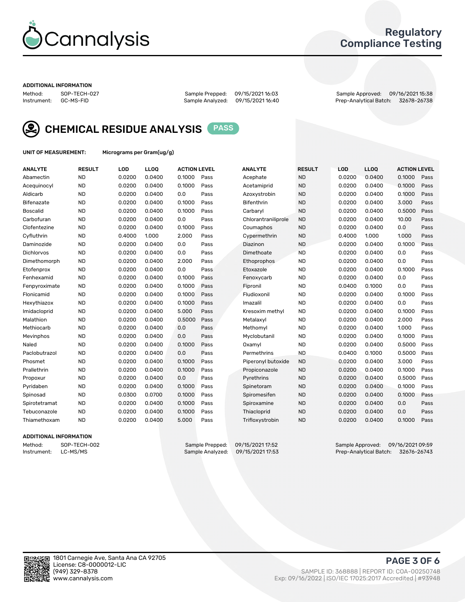

## Regulatory Compliance Testing

#### ADDITIONAL INFORMATION

Method: SOP-TECH-027 Sample Prepped: 09/15/2021 16:03 Sample Approved: 09/16/2021 15:38 Prep-Analytical Batch: 32678-26738



CHEMICAL RESIDUE ANALYSIS PASS

UNIT OF MEASUREMENT: Micrograms per Gram(ug/g)

| <b>ANALYTE</b>  | <b>RESULT</b> | LOD    | LLOQ   | <b>ACTION LEVEL</b> |      | <b>ANALYTE</b>      | <b>RESULT</b> | LOD    | <b>LLOQ</b> | <b>ACTION LEVEL</b> |      |
|-----------------|---------------|--------|--------|---------------------|------|---------------------|---------------|--------|-------------|---------------------|------|
| Abamectin       | <b>ND</b>     | 0.0200 | 0.0400 | 0.1000              | Pass | Acephate            | <b>ND</b>     | 0.0200 | 0.0400      | 0.1000              | Pass |
| Acequinocyl     | <b>ND</b>     | 0.0200 | 0.0400 | 0.1000              | Pass | Acetamiprid         | <b>ND</b>     | 0.0200 | 0.0400      | 0.1000              | Pass |
| Aldicarb        | <b>ND</b>     | 0.0200 | 0.0400 | 0.0                 | Pass | Azoxystrobin        | <b>ND</b>     | 0.0200 | 0.0400      | 0.1000              | Pass |
| Bifenazate      | <b>ND</b>     | 0.0200 | 0.0400 | 0.1000              | Pass | <b>Bifenthrin</b>   | <b>ND</b>     | 0.0200 | 0.0400      | 3.000               | Pass |
| <b>Boscalid</b> | <b>ND</b>     | 0.0200 | 0.0400 | 0.1000              | Pass | Carbaryl            | <b>ND</b>     | 0.0200 | 0.0400      | 0.5000              | Pass |
| Carbofuran      | <b>ND</b>     | 0.0200 | 0.0400 | 0.0                 | Pass | Chlorantraniliprole | <b>ND</b>     | 0.0200 | 0.0400      | 10.00               | Pass |
| Clofentezine    | <b>ND</b>     | 0.0200 | 0.0400 | 0.1000              | Pass | Coumaphos           | <b>ND</b>     | 0.0200 | 0.0400      | 0.0                 | Pass |
| Cyfluthrin      | <b>ND</b>     | 0.4000 | 1.000  | 2.000               | Pass | Cypermethrin        | <b>ND</b>     | 0.4000 | 1.000       | 1.000               | Pass |
| Daminozide      | <b>ND</b>     | 0.0200 | 0.0400 | 0.0                 | Pass | Diazinon            | <b>ND</b>     | 0.0200 | 0.0400      | 0.1000              | Pass |
| Dichlorvos      | <b>ND</b>     | 0.0200 | 0.0400 | 0.0                 | Pass | Dimethoate          | <b>ND</b>     | 0.0200 | 0.0400      | 0.0                 | Pass |
| Dimethomorph    | <b>ND</b>     | 0.0200 | 0.0400 | 2.000               | Pass | Ethoprophos         | <b>ND</b>     | 0.0200 | 0.0400      | 0.0                 | Pass |
| Etofenprox      | <b>ND</b>     | 0.0200 | 0.0400 | 0.0                 | Pass | Etoxazole           | <b>ND</b>     | 0.0200 | 0.0400      | 0.1000              | Pass |
| Fenhexamid      | <b>ND</b>     | 0.0200 | 0.0400 | 0.1000              | Pass | Fenoxycarb          | <b>ND</b>     | 0.0200 | 0.0400      | 0.0                 | Pass |
| Fenpyroximate   | <b>ND</b>     | 0.0200 | 0.0400 | 0.1000              | Pass | Fipronil            | <b>ND</b>     | 0.0400 | 0.1000      | 0.0                 | Pass |
| Flonicamid      | <b>ND</b>     | 0.0200 | 0.0400 | 0.1000              | Pass | Fludioxonil         | <b>ND</b>     | 0.0200 | 0.0400      | 0.1000              | Pass |
| Hexythiazox     | <b>ND</b>     | 0.0200 | 0.0400 | 0.1000              | Pass | Imazalil            | <b>ND</b>     | 0.0200 | 0.0400      | 0.0                 | Pass |
| Imidacloprid    | <b>ND</b>     | 0.0200 | 0.0400 | 5.000               | Pass | Kresoxim methyl     | <b>ND</b>     | 0.0200 | 0.0400      | 0.1000              | Pass |
| Malathion       | <b>ND</b>     | 0.0200 | 0.0400 | 0.5000              | Pass | Metalaxyl           | <b>ND</b>     | 0.0200 | 0.0400      | 2.000               | Pass |
| Methiocarb      | <b>ND</b>     | 0.0200 | 0.0400 | 0.0                 | Pass | Methomyl            | <b>ND</b>     | 0.0200 | 0.0400      | 1.000               | Pass |
| Mevinphos       | <b>ND</b>     | 0.0200 | 0.0400 | 0.0                 | Pass | Myclobutanil        | <b>ND</b>     | 0.0200 | 0.0400      | 0.1000              | Pass |
| Naled           | <b>ND</b>     | 0.0200 | 0.0400 | 0.1000              | Pass | Oxamyl              | <b>ND</b>     | 0.0200 | 0.0400      | 0.5000              | Pass |
| Paclobutrazol   | <b>ND</b>     | 0.0200 | 0.0400 | 0.0                 | Pass | Permethrins         | <b>ND</b>     | 0.0400 | 0.1000      | 0.5000              | Pass |
| Phosmet         | <b>ND</b>     | 0.0200 | 0.0400 | 0.1000              | Pass | Piperonyl butoxide  | <b>ND</b>     | 0.0200 | 0.0400      | 3.000               | Pass |
| Prallethrin     | <b>ND</b>     | 0.0200 | 0.0400 | 0.1000              | Pass | Propiconazole       | <b>ND</b>     | 0.0200 | 0.0400      | 0.1000              | Pass |
| Propoxur        | <b>ND</b>     | 0.0200 | 0.0400 | 0.0                 | Pass | Pyrethrins          | <b>ND</b>     | 0.0200 | 0.0400      | 0.5000              | Pass |
| Pyridaben       | <b>ND</b>     | 0.0200 | 0.0400 | 0.1000              | Pass | Spinetoram          | <b>ND</b>     | 0.0200 | 0.0400      | 0.1000              | Pass |
| Spinosad        | <b>ND</b>     | 0.0300 | 0.0700 | 0.1000              | Pass | Spiromesifen        | <b>ND</b>     | 0.0200 | 0.0400      | 0.1000              | Pass |
| Spirotetramat   | <b>ND</b>     | 0.0200 | 0.0400 | 0.1000              | Pass | Spiroxamine         | <b>ND</b>     | 0.0200 | 0.0400      | 0.0                 | Pass |
| Tebuconazole    | <b>ND</b>     | 0.0200 | 0.0400 | 0.1000              | Pass | Thiacloprid         | <b>ND</b>     | 0.0200 | 0.0400      | 0.0                 | Pass |
| Thiamethoxam    | <b>ND</b>     | 0.0200 | 0.0400 | 5.000               | Pass | Trifloxystrobin     | <b>ND</b>     | 0.0200 | 0.0400      | 0.1000              | Pass |
|                 |               |        |        |                     |      |                     |               |        |             |                     |      |

### ADDITIONAL INFORMATION

Method: SOP-TECH-002 Sample Prepped: 09/15/2021 17:52 Sample Approved: 09/16/2021 09:59<br>Instrument: LC-MS/MS Sample Analyzed: 09/15/2021 17:53 Prep-Analytical Batch: 32676-26743 Prep-Analytical Batch: 32676-26743

PAGE 3 OF 6

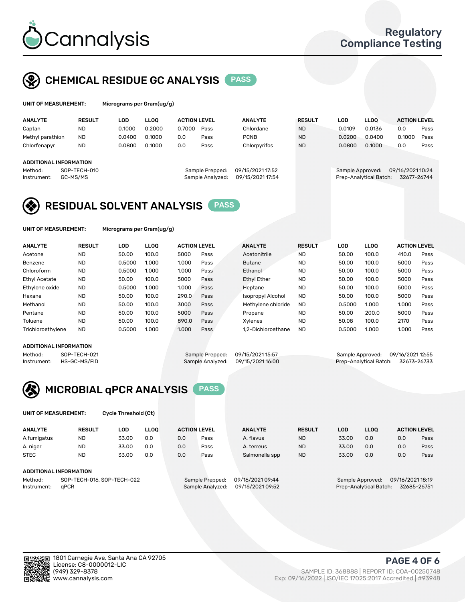

# CHEMICAL RESIDUE GC ANALYSIS PASS

| UNIT OF MEASUREMENT: |               | Micrograms per Gram(ug/g) |             |                     |      |                |               |        |             |                     |      |
|----------------------|---------------|---------------------------|-------------|---------------------|------|----------------|---------------|--------|-------------|---------------------|------|
| <b>ANALYTE</b>       | <b>RESULT</b> | LOD                       | <b>LLOO</b> | <b>ACTION LEVEL</b> |      | <b>ANALYTE</b> | <b>RESULT</b> | LOD    | <b>LLOO</b> | <b>ACTION LEVEL</b> |      |
| Captan               | ND            | 0.1000                    | 0.2000      | 0.7000              | Pass | Chlordane      | <b>ND</b>     | 0.0109 | 0.0136      | 0.0                 | Pass |
| Methyl parathion     | <b>ND</b>     | 0.0400                    | 0.1000      | 0.0                 | Pass | <b>PCNB</b>    | <b>ND</b>     | 0.0200 | 0.0400      | 0.1000              | Pass |
| Chlorfenapyr         | ND            | 0.0800                    | 0.1000      | 0.0                 | Pass | Chlorpyrifos   | <b>ND</b>     | 0.0800 | 0.1000      | 0.0                 | Pass |
|                      |               |                           |             |                     |      |                |               |        |             |                     |      |

### ADDITIONAL INFORMATION

| repped:  | 09/15/2021 17:52 |  |
|----------|------------------|--|
| nalyzed: | 09/15/2021 17:54 |  |
|          |                  |  |

Method: SOP-TECH-010 Sample Prepped: 09/15/2021 17:52 Sample Approved: 09/16/2021 10:24 Instrument: GC-MS/MS Sample Analyzed: 09/15/2021 17:54 Prep-Analytical Batch: 32677-26744

# RESIDUAL SOLVENT ANALYSIS PASS

UNIT OF MEASUREMENT: Micrograms per Gram(ug/g)

| <b>ANALYTE</b>       | <b>RESULT</b> | LOD    | <b>LLOO</b> | <b>ACTION LEVEL</b> |      | <b>ANALYTE</b>           | <b>RESULT</b> | LOD    | LLOO  | <b>ACTION LEVEL</b> |      |
|----------------------|---------------|--------|-------------|---------------------|------|--------------------------|---------------|--------|-------|---------------------|------|
| Acetone              | <b>ND</b>     | 50.00  | 100.0       | 5000                | Pass | Acetonitrile             | <b>ND</b>     | 50.00  | 100.0 | 410.0               | Pass |
| Benzene              | <b>ND</b>     | 0.5000 | 1.000       | 1.000               | Pass | <b>Butane</b>            | <b>ND</b>     | 50.00  | 100.0 | 5000                | Pass |
| Chloroform           | <b>ND</b>     | 0.5000 | 1.000       | 1.000               | Pass | Ethanol                  | <b>ND</b>     | 50.00  | 100.0 | 5000                | Pass |
| <b>Ethyl Acetate</b> | <b>ND</b>     | 50.00  | 100.0       | 5000                | Pass | <b>Ethyl Ether</b>       | <b>ND</b>     | 50.00  | 100.0 | 5000                | Pass |
| Ethylene oxide       | <b>ND</b>     | 0.5000 | 1.000       | 1.000               | Pass | Heptane                  | <b>ND</b>     | 50.00  | 100.0 | 5000                | Pass |
| Hexane               | <b>ND</b>     | 50.00  | 100.0       | 290.0               | Pass | <b>Isopropyl Alcohol</b> | <b>ND</b>     | 50.00  | 100.0 | 5000                | Pass |
| Methanol             | <b>ND</b>     | 50.00  | 100.0       | 3000                | Pass | Methylene chloride       | <b>ND</b>     | 0.5000 | 1.000 | 1.000               | Pass |
| Pentane              | <b>ND</b>     | 50.00  | 100.0       | 5000                | Pass | Propane                  | <b>ND</b>     | 50.00  | 200.0 | 5000                | Pass |
| Toluene              | <b>ND</b>     | 50.00  | 100.0       | 890.0               | Pass | Xvlenes                  | <b>ND</b>     | 50.08  | 100.0 | 2170                | Pass |
| Trichloroethylene    | <b>ND</b>     | 0.5000 | 1.000       | 1.000               | Pass | 1.2-Dichloroethane       | <b>ND</b>     | 0.5000 | 1.000 | 1.000               | Pass |

#### ADDITIONAL INFORMATION

Method: SOP-TECH-021 Sample Prepped: 09/15/2021 15:57 Sample Approved: 09/16/2021 12:55<br>Sample Analyzed: 09/15/2021 16:00 Prep-Analytical Batch: 32673-26733 Prep-Analytical Batch: 32673-26733



UNIT OF MEASUREMENT: Cycle Threshold (Ct)

| <b>ANALYTE</b> | <b>RESULT</b>              | LOD   | <b>LLOO</b> |     | <b>ACTION LEVEL</b> | <b>ANALYTE</b>   | <b>RESULT</b> | <b>LOD</b> | <b>LLOO</b>      |                  | <b>ACTION LEVEL</b> |
|----------------|----------------------------|-------|-------------|-----|---------------------|------------------|---------------|------------|------------------|------------------|---------------------|
| A.fumigatus    | <b>ND</b>                  | 33.00 | 0.0         | 0.0 | Pass                | A. flavus        | <b>ND</b>     | 33.00      | 0.0              | 0.0              | Pass                |
| A. niger       | <b>ND</b>                  | 33.00 | 0.0         | 0.0 | Pass                | A. terreus       | <b>ND</b>     | 33.00      | 0.0              | 0.0              | Pass                |
| <b>STEC</b>    | <b>ND</b>                  | 33.00 | 0.0         | 0.0 | Pass                | Salmonella spp   | <b>ND</b>     | 33.00      | 0.0              | 0.0              | Pass                |
|                | ADDITIONAL INFORMATION     |       |             |     |                     |                  |               |            |                  |                  |                     |
| Method:        | SOP-TECH-016, SOP-TECH-022 |       |             |     | Sample Prepped:     | 09/16/2021 09:44 |               |            | Sample Approved: | 09/16/2021 18:19 |                     |

Instrument: qPCR Sample Analyzed: 09/16/2021 09:52 Prep-Analytical Batch: 32685-26751

PAGE 4 OF 6

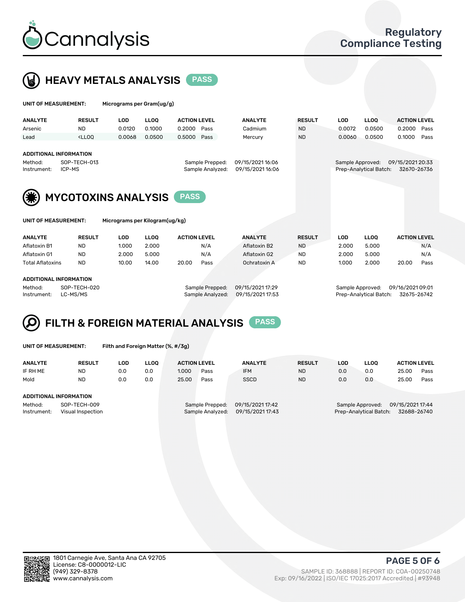



| UNIT OF MEASUREMENT:                                    |                                                                                                                                                                     | Micrograms per Gram(ug/g)                                    |             |                                     |                                      |               |                  |                        |                                 |
|---------------------------------------------------------|---------------------------------------------------------------------------------------------------------------------------------------------------------------------|--------------------------------------------------------------|-------------|-------------------------------------|--------------------------------------|---------------|------------------|------------------------|---------------------------------|
| <b>ANALYTE</b>                                          | <b>RESULT</b>                                                                                                                                                       | <b>LOD</b>                                                   | <b>LLOO</b> | <b>ACTION LEVEL</b>                 | <b>ANALYTE</b>                       | <b>RESULT</b> | <b>LOD</b>       | <b>LLOQ</b>            | <b>ACTION LEVEL</b>             |
| Arsenic                                                 | <b>ND</b>                                                                                                                                                           | 0.0120                                                       | 0.1000      | 0.2000<br>Pass                      | Cadmium                              | <b>ND</b>     | 0.0072           | 0.0500                 | 0.2000<br>Pass                  |
| Lead                                                    | <lloo< td=""><td>0.0068</td><td>0.0500</td><td>Pass<br/>0.5000</td><td>Mercury</td><td><b>ND</b></td><td>0.0060</td><td>0.0500</td><td>0.1000<br/>Pass</td></lloo<> | 0.0068                                                       | 0.0500      | Pass<br>0.5000                      | Mercury                              | <b>ND</b>     | 0.0060           | 0.0500                 | 0.1000<br>Pass                  |
| <b>ADDITIONAL INFORMATION</b><br>Method:<br>Instrument: | SOP-TECH-013<br>ICP-MS                                                                                                                                              |                                                              |             | Sample Prepped:<br>Sample Analyzed: | 09/15/2021 16:06<br>09/15/2021 16:06 |               | Sample Approved: | Prep-Analytical Batch: | 09/15/2021 20:33<br>32670-26736 |
| <b>UNIT OF MEASUREMENT:</b>                             |                                                                                                                                                                     | <b>MYCOTOXINS ANALYSIS</b><br>Micrograms per Kilogram(ug/kg) |             | <b>PASS</b>                         |                                      |               |                  |                        |                                 |
| <b>ANALYTE</b>                                          | <b>RESULT</b>                                                                                                                                                       | <b>LOD</b>                                                   | <b>LLOO</b> | <b>ACTION LEVEL</b>                 | <b>ANALYTE</b>                       | <b>RESULT</b> | <b>LOD</b>       | <b>LLOO</b>            | <b>ACTION LEVEL</b>             |
| Aflatoxin B1                                            | <b>ND</b>                                                                                                                                                           | 1.000                                                        | 2.000       | N/A                                 | Aflatoxin B2                         | <b>ND</b>     | 2.000            | 5.000                  | N/A                             |
| Aflatoxin G1                                            | <b>ND</b>                                                                                                                                                           | 2.000                                                        | 5.000       | N/A                                 | Aflatoxin G2                         | <b>ND</b>     | 2.000            | 5.000                  | N/A                             |
| <b>Total Aflatoxins</b>                                 | <b>ND</b>                                                                                                                                                           | 10.00                                                        | 14.00       | 20.00<br>Pass                       | Ochratoxin A                         | <b>ND</b>     | 1.000            | 2.000                  | 20.00<br>Pass                   |
| <b>ADDITIONAL INFORMATION</b><br>Method:                | SOP-TECH-020                                                                                                                                                        |                                                              |             | Sample Prepped:                     | 09/15/2021 17:29                     |               | Sample Approved: |                        | 09/16/2021 09:01                |

### FILTH & FOREIGN MATERIAL ANALYSIS PASS Q

UNIT OF MEASUREMENT: Filth and Foreign Matter (%, #/3g)

| <b>ANALYTE</b>                   | <b>RESULT</b> | LOD | <b>LLOO</b> | <b>ACTION LEVEL</b>                  |      | <b>ANALYTE</b> | <b>RESULT</b> | LOD                                   | <b>LLOO</b> | <b>ACTION LEVEL</b> |      |
|----------------------------------|---------------|-----|-------------|--------------------------------------|------|----------------|---------------|---------------------------------------|-------------|---------------------|------|
| IF RH ME                         | <b>ND</b>     | 0.0 | 0.0         | 1.000                                | Pass | <b>IFM</b>     | <b>ND</b>     | 0.0                                   | 0.0         | 25.00               | Pass |
| Mold                             | <b>ND</b>     | 0.0 | 0.0         | 25.00                                | Pass | <b>SSCD</b>    | <b>ND</b>     | 0.0                                   | 0.0         | 25.00               | Pass |
|                                  |               |     |             |                                      |      |                |               |                                       |             |                     |      |
| ADDITIONAL INFORMATION           |               |     |             |                                      |      |                |               |                                       |             |                     |      |
| Method:                          | SOP-TECH-009  |     |             | 09/15/2021 17:42<br>Sample Prepped:  |      |                |               | 09/15/2021 17:44<br>Sample Approved:  |             |                     |      |
| Instrument:<br>Visual Inspection |               |     |             | 09/15/2021 17:43<br>Sample Analyzed: |      |                |               | 32688-26740<br>Prep-Analytical Batch: |             |                     |      |

Instrument: LC-MS/MS Sample Analyzed: 09/15/2021 17:53 Prep-Analytical Batch: 32675-26742